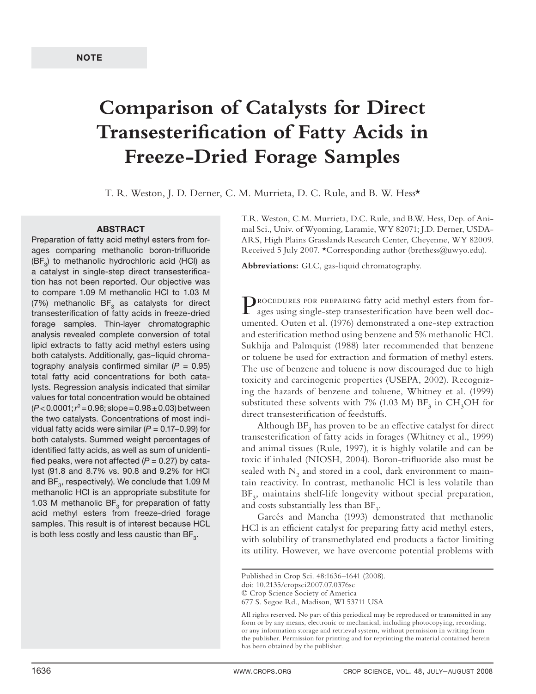# **Comparison of Catalysts for Direct Transesterification of Fatty Acids in Freeze-Dried Forage Samples**

T. R. Weston, J. D. Derner, C. M. Murrieta, D. C. Rule, and B. W. Hess\*

#### **ABSTRACT**

Preparation of fatty acid methyl esters from forages comparing methanolic boron-trifluoride  $(BF<sub>3</sub>)$  to methanolic hydrochloric acid (HCl) as a catalyst in single-step direct transesterification has not been reported. Our objective was to compare 1.09 M methanolic HCl to 1.03 M (7%) methanolic  $BF<sub>3</sub>$  as catalysts for direct transesterification of fatty acids in freeze-dried forage samples. Thin-layer chromatographic analysis revealed complete conversion of total lipid extracts to fatty acid methyl esters using both catalysts. Additionally, gas–liquid chromatography analysis confirmed similar ( $P = 0.95$ ) total fatty acid concentrations for both catalysts. Regression analysis indicated that similar values for total concentration would be obtained  $(P<0.0001; r<sup>2</sup>=0.96; slope=0.98±0.03) between$ the two catalysts. Concentrations of most individual fatty acids were similar ( $P = 0.17 - 0.99$ ) for both catalysts. Summed weight percentages of identified fatty acids, as well as sum of unidentified peaks, were not affected  $(P = 0.27)$  by catalyst (91.8 and 8.7% vs. 90.8 and 9.2% for HCl and  $BF<sub>3</sub>$ , respectively). We conclude that 1.09 M methanolic HCl is an appropriate substitute for 1.03 M methanolic  $BF<sub>3</sub>$  for preparation of fatty acid methyl esters from freeze-dried forage samples. This result is of interest because HCL is both less costly and less caustic than  $BF_{3}$ .

T.R. Weston, C.M. Murrieta, D.C. Rule, and B.W. Hess, Dep. of Animal Sci., Univ. of Wyoming, Laramie, WY 82071; J.D. Derner, USDA-ARS, High Plains Grasslands Research Center, Cheyenne, WY 82009. Received 5 July 2007. \*Corresponding author (brethess@uwyo.edu).

**Abbreviations:** GLC, gas-liquid chromatography.

Procedures for preparing fatty acid methyl esters from forages using single-step transesterification have been well documented. Outen et al. (1976) demonstrated a one-step extraction and esterification method using benzene and 5% methanolic HCl. Sukhija and Palmquist (1988) later recommended that benzene or toluene be used for extraction and formation of methyl esters. The use of benzene and toluene is now discouraged due to high toxicity and carcinogenic properties (USEPA, 2002). Recognizing the hazards of benzene and toluene, Whitney et al. (1999) substituted these solvents with 7% (1.03 M)  $\rm BF_3$  in  $\rm CH_3OH$  for direct transesterification of feedstuffs.

Although  $\text{BF}_3$  has proven to be an effective catalyst for direct transesterification of fatty acids in forages (Whitney et al., 1999) and animal tissues (Rule, 1997), it is highly volatile and can be toxic if inhaled (NIOSH, 2004). Boron-trifluoride also must be sealed with  $N_2$  and stored in a cool, dark environment to maintain reactivity. In contrast, methanolic HCl is less volatile than BF<sub>3</sub>, maintains shelf-life longevity without special preparation, and costs substantially less than  $BF_3$ .

Garcés and Mancha (1993) demonstrated that methanolic HCl is an efficient catalyst for preparing fatty acid methyl esters, with solubility of transmethylated end products a factor limiting its utility. However, we have overcome potential problems with

Published in Crop Sci. 48:1636–1641 (2008).

doi: 10.2135/cropsci2007.07.0376sc

<sup>©</sup> Crop Science Society of America

<sup>677</sup> S. Segoe Rd., Madison, WI 53711 USA

All rights reserved. No part of this periodical may be reproduced or transmitted in any form or by any means, electronic or mechanical, including photocopying, recording, or any information storage and retrieval system, without permission in writing from the publisher. Permission for printing and for reprinting the material contained herein has been obtained by the publisher.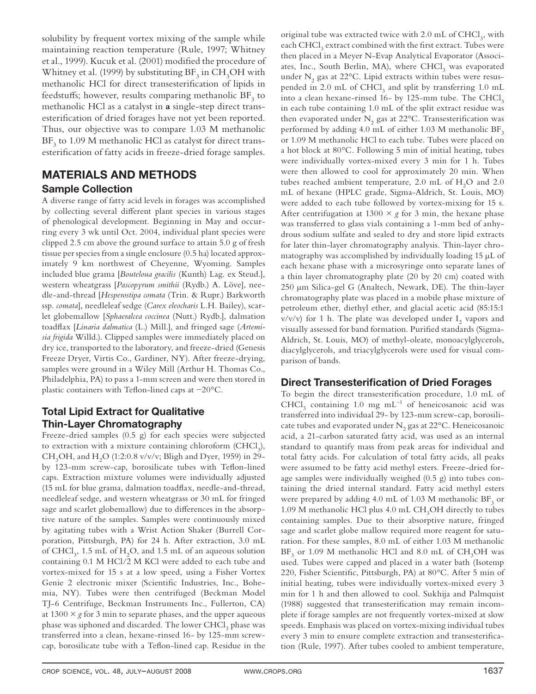solubility by frequent vortex mixing of the sample while maintaining reaction temperature (Rule, 1997; Whitney et al., 1999). Kucuk et al. (2001) modified the procedure of Whitney et al. (1999) by substituting  $\text{BF}_3$  in  $\text{CH}_3\text{OH}$  with methanolic HCl for direct transesterification of lipids in feedstuffs; however, results comparing methanolic  $\text{BF}_3$  to methanolic HCl as a catalyst in **a** single-step direct transesterification of dried forages have not yet been reported. Thus, our objective was to compare 1.03 M methanolic  $\rm BF_3$  to 1.09 M methanolic HCl as catalyst for direct transesterification of fatty acids in freeze-dried forage samples.

### **MATERIALS AND METHODS Sample Collection**

A diverse range of fatty acid levels in forages was accomplished by collecting several different plant species in various stages of phenological development. Beginning in May and occurring every 3 wk until Oct. 2004, individual plant species were clipped 2.5 cm above the ground surface to attain 5.0 g of fresh tissue per species from a single enclosure (0.5 ha) located approximately 9 km northwest of Cheyenne, Wyoming. Samples included blue grama [*Bouteloua gracilis* (Kunth) Lag. ex Steud.], western wheatgrass [*Pascopyrum smithii* (Rydb.) A. Löve], needle-and-thread [*Hesperostipa comata* (Trin. & Rupr.) Barkworth ssp. *comata*], needleleaf sedge (*Carex eleocharis* L.H. Bailey), scarlet globemallow [*Sphaeralcea coccinea* (Nutt.) Rydb.], dalmation toadflax [Linaria dalmatica (L.) Mill.], and fringed sage (Artemi*sia frigida* Willd.). Clipped samples were immediately placed on dry ice, transported to the laboratory, and freeze-dried (Genesis Freeze Dryer, Virtis Co., Gardiner, NY). After freeze-drying, samples were ground in a Wiley Mill (Arthur H. Thomas Co., Philadelphia, PA) to pass a 1-mm screen and were then stored in plastic containers with Teflon-lined caps at -20°C.

### **Total Lipid Extract for Qualitative Thin-Layer Chromatography**

Freeze-dried samples (0.5 g) for each species were subjected to extraction with a mixture containing chloroform (CHCl<sub>3</sub>), CH<sub>3</sub>OH, and H<sub>2</sub>O (1:2:0.8 v/v/v; Bligh and Dyer, 1959) in 29by 123-mm screw-cap, borosilicate tubes with Teflon-lined caps. Extraction mixture volumes were individually adjusted (15 mL for blue grama, dalmation toadflax, needle-and-thread, needleleaf sedge, and western wheatgrass or 30 mL for fringed sage and scarlet globemallow) due to differences in the absorptive nature of the samples. Samples were continuously mixed by agitating tubes with a Wrist Action Shaker (Burrell Corporation, Pittsburgh, PA) for 24 h. After extraction, 3.0 mL of CHCl<sub>3</sub>, 1.5 mL of H<sub>2</sub>O, and 1.5 mL of an aqueous solution containing 0.1 M HCl/2 M KCl were added to each tube and vortex-mixed for 15 s at a low speed, using a Fisher Vortex Genie 2 electronic mixer (Scientific Industries, Inc., Bohemia, NY). Tubes were then centrifuged (Beckman Model TJ-6 Centrifuge, Beckman Instruments Inc., Fullerton, CA) at  $1300 \times g$  for 3 min to separate phases, and the upper aqueous phase was siphoned and discarded. The lower  $\mathrm{CHCl}_{3}$  phase was transferred into a clean, hexane-rinsed 16- by 125-mm screwcap, borosilicate tube with a Teflon-lined cap. Residue in the

original tube was extracted twice with  $2.0$  mL of  $CHCl<sub>3</sub>$ , with each  $\mathrm{CHCl}_3$  extract combined with the first extract. Tubes were then placed in a Meyer N-Evap Analytical Evaporator (Associates, Inc., South Berlin, MA), where  $\mathrm{CHCl}_3$  was evaporated under  $\mathrm{N}_2$  gas at 22°C. Lipid extracts within tubes were resuspended in 2.0 mL of  $CHCl<sub>3</sub>$  and split by transferring 1.0 mL into a clean hexane-rinsed 16- by 125-mm tube. The CHCl<sub>3</sub> in each tube containing 1.0 mL of the split extract residue was then evaporated under  $\mathrm{N}_2$  gas at 22°C. Transesterification was performed by adding 4.0 mL of either 1.03 M methanolic  $BF_3$ or 1.09 M methanolic HCl to each tube. Tubes were placed on a hot block at 80°C. Following 5 min of initial heating, tubes were individually vortex-mixed every 3 min for 1 h. Tubes were then allowed to cool for approximately 20 min. When tubes reached ambient temperature,  $2.0$  mL of  $H<sub>2</sub>O$  and  $2.0$ mL of hexane (HPLC grade, Sigma-Aldrich, St. Louis, MO) were added to each tube followed by vortex-mixing for 15 s. After centrifugation at 1300  $\times$  *g* for 3 min, the hexane phase was transferred to glass vials containing a 1-mm bed of anhydrous sodium sulfate and sealed to dry and store lipid extracts for later thin-layer chromatography analysis. Thin-layer chromatography was accomplished by individually loading 15 μL of each hexane phase with a microsyringe onto separate lanes of a thin layer chromatography plate (20 by 20 cm) coated with 250 μm Silica-gel G (Analtech, Newark, DE). The thin-layer chromatography plate was placed in a mobile phase mixture of petroleum ether, diethyl ether, and glacial acetic acid (85:15:1 v/v/v) for 1 h. The plate was developed under  $I_2$  vapors and visually assessed for band formation. Purified standards (Sigma-Aldrich, St. Louis, MO) of methyl-oleate, monoacylglycerols, diacylglycerols, and triacylglycerols were used for visual comparison of bands.

#### **Direct Transesterification of Dried Forages**

To begin the direct transesterification procedure, 1.0 mL of  $CHCl<sub>3</sub>$  containing 1.0 mg mL<sup>-1</sup> of heneicosanoic acid was transferred into individual 29- by 123-mm screw-cap, borosilicate tubes and evaporated under  $\mathrm{N}_2$  gas at 22°C. Heneicosanoic acid, a 21-carbon saturated fatty acid, was used as an internal standard to quantify mass from peak areas for individual and total fatty acids. For calculation of total fatty acids, all peaks were assumed to be fatty acid methyl esters. Freeze-dried forage samples were individually weighed (0.5 g) into tubes containing the dried internal standard. Fatty acid methyl esters were prepared by adding 4.0 mL of 1.03 M methanolic  $\rm BF_{3}$  or 1.09 M methanolic HCl plus 4.0 mL  $\text{CH}_3\text{OH}$  directly to tubes containing samples. Due to their absorptive nature, fringed sage and scarlet globe mallow required more reagent for saturation. For these samples, 8.0 mL of either 1.03 M methanolic  $BF_3$  or 1.09 M methanolic HCl and 8.0 mL of  $CH_3OH$  was used. Tubes were capped and placed in a water bath (Isotemp 220, Fisher Scientific, Pittsburgh, PA) at  $80^{\circ}$ C. After 5 min of initial heating, tubes were individually vortex-mixed every 3 min for 1 h and then allowed to cool. Sukhija and Palmquist (1988) suggested that transesterification may remain incomplete if forage samples are not frequently vortex-mixed at slow speeds. Emphasis was placed on vortex-mixing individual tubes every 3 min to ensure complete extraction and transesterification (Rule, 1997). After tubes cooled to ambient temperature,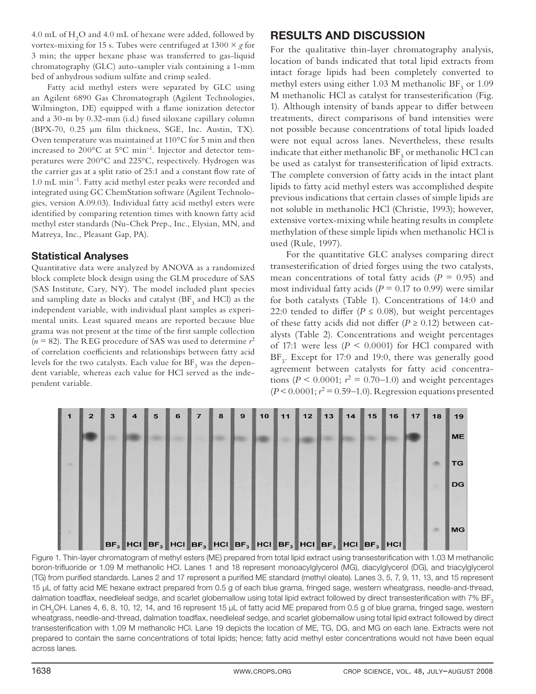4.0 mL of  $H<sub>2</sub>O$  and 4.0 mL of hexane were added, followed by vortex-mixing for 15 s. Tubes were centrifuged at  $1300 \times g$  for 3 min; the upper hexane phase was transferred to gas-liquid chromatography (GLC) auto-sampler vials containing a 1-mm bed of anhydrous sodium sulfate and crimp sealed.

Fatty acid methyl esters were separated by GLC using an Agilent 6890 Gas Chromatograph (Agilent Technologies, Wilmington, DE) equipped with a flame ionization detector and a 30-m by 0.32-mm (i.d.) fused siloxane capillary column (BPX-70, 0.25 μm film thickness, SGE, Inc. Austin, TX). Oven temperature was maintained at 110°C for 5 min and then increased to 200°C at 5°C min–1. Injector and detector temperatures were 200°C and 225°C, respectively. Hydrogen was the carrier gas at a split ratio of 25:1 and a constant flow rate of 1.0 mL min<sup>-1</sup>. Fatty acid methyl ester peaks were recorded and integrated using GC ChemStation software (Agilent Technologies, version A.09.03). Individual fatty acid methyl esters were identified by comparing retention times with known fatty acid methyl ester standards (Nu-Chek Prep., Inc., Elysian, MN, and Matreya, Inc., Pleasant Gap, PA).

#### **Statistical Analyses**

Quantitative data were analyzed by ANOVA as a randomized block complete block design using the GLM procedure of SAS (SAS Institute, Cary, NY). The model included plant species and sampling date as blocks and catalyst (BF $_{3}$  and HCl) as the independent variable, with individual plant samples as experimental units. Least squared means are reported because blue grama was not present at the time of the first sample collection  $(n = 82)$ . The REG procedure of SAS was used to determine  $r^2$ of correlation coefficients and relationships between fatty acid levels for the two catalysts. Each value for  $BF_3$  was the dependent variable, whereas each value for HCl served as the independent variable.

## **RESULTS AND DISCUSSION**

For the qualitative thin-layer chromatography analysis, location of bands indicated that total lipid extracts from intact forage lipids had been completely converted to methyl esters using either 1.03 M methanolic  $\rm BF_{3}$  or 1.09 M methanolic HCl as catalyst for transesterification (Fig. 1). Although intensity of bands appear to differ between treatments, direct comparisons of band intensities were not possible because concentrations of total lipids loaded were not equal across lanes. Nevertheless, these results indicate that either methanolic  $\rm{BF}_{3}$  or methanolic HCl can be used as catalyst for transesterification of lipid extracts. The complete conversion of fatty acids in the intact plant lipids to fatty acid methyl esters was accomplished despite previous indications that certain classes of simple lipids are not soluble in methanolic HCl (Christie, 1993); however, extensive vortex-mixing while heating results in complete methylation of these simple lipids when methanolic HCl is used (Rule, 1997).

For the quantitative GLC analyses comparing direct transesterification of dried forges using the two catalysts, mean concentrations of total fatty acids  $(P = 0.95)$  and most individual fatty acids ( $P = 0.17$  to 0.99) were similar for both catalysts (Table 1). Concentrations of 14:0 and 22:0 tended to differ ( $P \le 0.08$ ), but weight percentages of these fatty acids did not differ ( $P \ge 0.12$ ) between catalysts (Table 2). Concentrations and weight percentages of 17:1 were less  $(P < 0.0001)$  for HCl compared with BF<sub>3</sub>. Except for 17:0 and 19:0, there was generally good agreement between catalysts for fatty acid concentrations ( $P < 0.0001$ ;  $r^2 = 0.70 - 1.0$ ) and weight percentages  $(P < 0.0001; r<sup>2</sup> = 0.59-1.0)$ . Regression equations presented



Figure 1. Thin-layer chromatogram of methyl esters (ME) prepared from total lipid extract using transesterification with 1.03 M methanolic boron-trifluoride or 1.09 M methanolic HCl. Lanes 1 and 18 represent monoacylglycerol (MG), diacylglycerol (DG), and triacylglycerol (TG) from purified standards. Lanes 2 and 17 represent a purified ME standard (methyl oleate). Lanes 3, 5, 7, 9, 11, 13, and 15 represent 15 μL of fatty acid ME hexane extract prepared from 0.5 g of each blue grama, fringed sage, western wheatgrass, needle-and-thread, dalmation toadflax, needleleaf sedge, and scarlet globemallow using total lipid extract followed by direct transesterification with 7% BF<sub>3</sub> in CH<sub>3</sub>OH. Lanes 4, 6, 8, 10, 12, 14, and 16 represent 15 μL of fatty acid ME prepared from 0.5 g of blue grama, fringed sage, western wheatgrass, needle-and-thread, dalmation toadflax, needleleaf sedge, and scarlet globemallow using total lipid extract followed by direct transesterification with 1.09 M methanolic HCl. Lane 19 depicts the location of ME, TG, DG, and MG on each lane. Extracts were not prepared to contain the same concentrations of total lipids; hence; fatty acid methyl ester concentrations would not have been equal across lanes.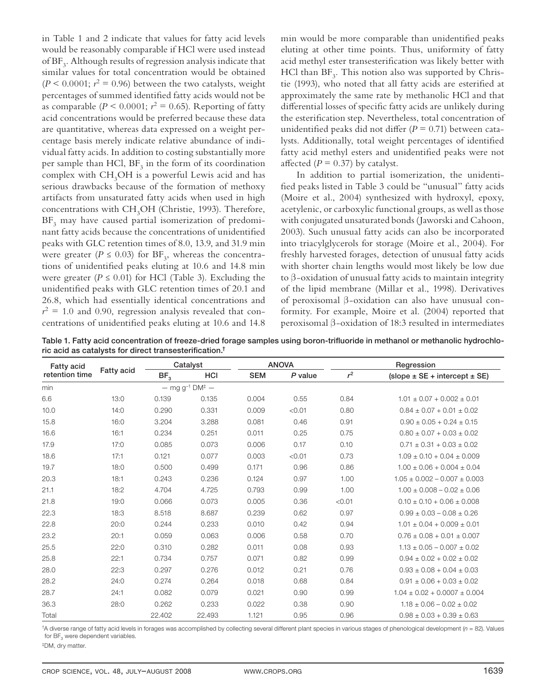in Table 1 and 2 indicate that values for fatty acid levels would be reasonably comparable if HCl were used instead of  $\mathrm{BF}_3$ . Although results of regression analysis indicate that similar values for total concentration would be obtained ( $P < 0.0001$ ;  $r^2 = 0.96$ ) between the two catalysts, weight percentages of summed identified fatty acids would not be as comparable  $(P < 0.0001; r^2 = 0.65)$ . Reporting of fatty acid concentrations would be preferred because these data are quantitative, whereas data expressed on a weight percentage basis merely indicate relative abundance of individual fatty acids. In addition to costing substantially more per sample than HCl,  $BF_3$  in the form of its coordination complex with  $\text{CH}_3\text{OH}$  is a powerful Lewis acid and has serious drawbacks because of the formation of methoxy artifacts from unsaturated fatty acids when used in high concentrations with CH<sub>3</sub>OH (Christie, 1993). Therefore,  $\rm{BF}_{3}$  may have caused partial isomerization of predominant fatty acids because the concentrations of unidentified peaks with GLC retention times of 8.0, 13.9, and 31.9 min were greater ( $P \le 0.03$ ) for BF<sub>3</sub>, whereas the concentrations of unidentified peaks eluting at 10.6 and 14.8 min were greater ( $P \le 0.01$ ) for HCl (Table 3). Excluding the unidentified peaks with GLC retention times of 20.1 and 26.8, which had essentially identical concentrations and  $r^2 = 1.0$  and 0.90, regression analysis revealed that concentrations of unidentified peaks eluting at 10.6 and 14.8

min would be more comparable than unidentified peaks eluting at other time points. Thus, uniformity of fatty acid methyl ester transesterification was likely better with  $\rm HCl$  than  $\rm BF_{3}$ . This notion also was supported by Christie (1993), who noted that all fatty acids are esterified at approximately the same rate by methanolic HCl and that differential losses of specific fatty acids are unlikely during the esterification step. Nevertheless, total concentration of unidentified peaks did not differ ( $P = 0.71$ ) between catalysts. Additionally, total weight percentages of identified fatty acid methyl esters and unidentified peaks were not affected  $(P = 0.37)$  by catalyst.

In addition to partial isomerization, the unidentified peaks listed in Table 3 could be "unusual" fatty acids (Moire et al., 2004) synthesized with hydroxyl, epoxy, acetylenic, or carboxylic functional groups, as well as those with conjugated unsaturated bonds (Jaworski and Cahoon, 2003). Such unusual fatty acids can also be incorporated into triacylglycerols for storage (Moire et al., 2004). For freshly harvested forages, detection of unusual fatty acids with shorter chain lengths would most likely be low due to β-oxidation of unusual fatty acids to maintain integrity of the lipid membrane (Millar et al., 1998). Derivatives of peroxisomal β-oxidation can also have unusual conformity. For example, Moire et al. (2004) reported that peroxisomal β-oxidation of 18:3 resulted in intermediates

Table 1. Fatty acid concentration of freeze-dried forage samples using boron-trifluoride in methanol or methanolic hydrochloric acid as catalysts for direct transesterification.<sup>†</sup>

| <b>Fatty acid</b> | Fatty acid |                 | Catalyst                                   |            | <b>ANOVA</b> | Regression |                                     |  |  |
|-------------------|------------|-----------------|--------------------------------------------|------------|--------------|------------|-------------------------------------|--|--|
| retention time    |            | BF <sub>3</sub> | <b>HCI</b>                                 | <b>SEM</b> | P value      | $r^2$      | $(slope \pm SE + intercept \pm SE)$ |  |  |
| min               |            |                 | $-$ mg g <sup>-1</sup> DM <sup>‡</sup> $-$ |            |              |            |                                     |  |  |
| 6.6               | 13:0       | 0.139           | 0.135                                      | 0.004      | 0.55         | 0.84       | $1.01 \pm 0.07 + 0.002 \pm 0.01$    |  |  |
| 10.0              | 14:0       | 0.290           | 0.331                                      | 0.009      | < 0.01       | 0.80       | $0.84 \pm 0.07 + 0.01 \pm 0.02$     |  |  |
| 15.8              | 16:0       | 3.204           | 3.288                                      | 0.081      | 0.46         | 0.91       | $0.90 \pm 0.05 + 0.24 \pm 0.15$     |  |  |
| 16.6              | 16:1       | 0.234           | 0.251                                      | 0.011      | 0.25         | 0.75       | $0.80 \pm 0.07 + 0.03 \pm 0.02$     |  |  |
| 17.9              | 17:0       | 0.085           | 0.073                                      | 0.006      | 0.17         | 0.10       | $0.71 \pm 0.31 + 0.03 \pm 0.02$     |  |  |
| 18.6              | 17:1       | 0.121           | 0.077                                      | 0.003      | < 0.01       | 0.73       | $1.09 \pm 0.10 + 0.04 \pm 0.009$    |  |  |
| 19.7              | 18:0       | 0.500           | 0.499                                      | 0.171      | 0.96         | 0.86       | $1.00 \pm 0.06 + 0.004 \pm 0.04$    |  |  |
| 20.3              | 18:1       | 0.243           | 0.236                                      | 0.124      | 0.97         | 1.00       | $1.05 \pm 0.002 - 0.007 \pm 0.003$  |  |  |
| 21.1              | 18:2       | 4.704           | 4.725                                      | 0.793      | 0.99         | 1.00       | $1.00 \pm 0.008 - 0.02 \pm 0.06$    |  |  |
| 21.8              | 19:0       | 0.066           | 0.073                                      | 0.005      | 0.36         | < 0.01     | $0.10 + 0.10 + 0.06 + 0.008$        |  |  |
| 22.3              | 18:3       | 8.518           | 8.687                                      | 0.239      | 0.62         | 0.97       | $0.99 + 0.03 - 0.08 + 0.26$         |  |  |
| 22.8              | 20:0       | 0.244           | 0.233                                      | 0.010      | 0.42         | 0.94       | $1.01 \pm 0.04 + 0.009 \pm 0.01$    |  |  |
| 23.2              | 20:1       | 0.059           | 0.063                                      | 0.006      | 0.58         | 0.70       | $0.76 \pm 0.08 + 0.01 \pm 0.007$    |  |  |
| 25.5              | 22:0       | 0.310           | 0.282                                      | 0.011      | 0.08         | 0.93       | $1.13 \pm 0.05 - 0.007 \pm 0.02$    |  |  |
| 25.8              | 22:1       | 0.734           | 0.757                                      | 0.071      | 0.82         | 0.99       | $0.94 \pm 0.02 + 0.02 \pm 0.02$     |  |  |
| 28.0              | 22:3       | 0.297           | 0.276                                      | 0.012      | 0.21         | 0.76       | $0.93 + 0.08 + 0.04 + 0.03$         |  |  |
| 28.2              | 24:0       | 0.274           | 0.264                                      | 0.018      | 0.68         | 0.84       | $0.91 \pm 0.06 + 0.03 \pm 0.02$     |  |  |
| 28.7              | 24:1       | 0.082           | 0.079                                      | 0.021      | 0.90         | 0.99       | $1.04 \pm 0.02 + 0.0007 \pm 0.004$  |  |  |
| 36.3              | 28:0       | 0.262           | 0.233                                      | 0.022      | 0.38         | 0.90       | $1.18 \pm 0.06 - 0.02 \pm 0.02$     |  |  |
| Total             |            | 22.402          | 22.493                                     | 1.121      | 0.95         | 0.96       | $0.98 \pm 0.03 + 0.39 \pm 0.63$     |  |  |

†A diverse range of fatty acid levels in forages was accomplished by collecting several different plant species in various stages of phenological development (n = 82). Values for  $BF<sub>3</sub>$  were dependent variables.

‡DM, dry matter.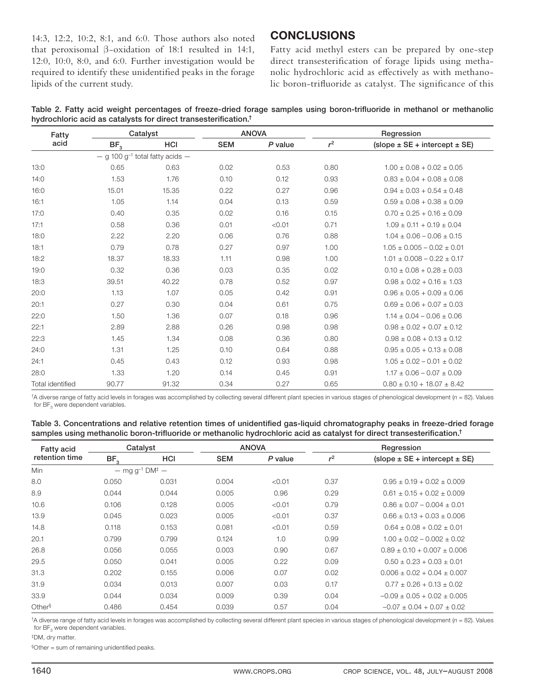14:3, 12:2, 10:2, 8:1, and 6:0. Those authors also noted that peroxisomal β-oxidation of 18:1 resulted in 14:1, 12:0, 10:0, 8:0, and 6:0. Further investigation would be required to identify these unidentified peaks in the forage lipids of the current study.

#### **CONCLUSIONS**

Fatty acid methyl esters can be prepared by one-step direct transesterification of forage lipids using methanolic hydrochloric acid as effectively as with methanolic boron-trifluoride as catalyst. The significance of this

| Table 2. Fatty acid weight percentages of freeze-dried forage samples using boron-trifluoride in methanol or methanolic |  |  |  |  |  |  |
|-------------------------------------------------------------------------------------------------------------------------|--|--|--|--|--|--|
| hydrochloric acid as catalysts for direct transesterification. <sup>†</sup>                                             |  |  |  |  |  |  |

| Fatty                   |                 | Catalyst                                        |            | <b>ANOVA</b> | Regression |                                     |  |  |
|-------------------------|-----------------|-------------------------------------------------|------------|--------------|------------|-------------------------------------|--|--|
| acid                    | BF <sub>3</sub> | <b>HCI</b>                                      | <b>SEM</b> | P value      | $r^2$      | $(slope \pm SE + intercept \pm SE)$ |  |  |
|                         |                 | $-$ g 100 g <sup>-1</sup> total fatty acids $-$ |            |              |            |                                     |  |  |
| 13:0                    | 0.65            | 0.63                                            | 0.02       | 0.53         | 0.80       | $1.00 \pm 0.08 + 0.02 \pm 0.05$     |  |  |
| 14:0                    | 1.53            | 1.76                                            | 0.10       | 0.12         | 0.93       | $0.83 \pm 0.04 + 0.08 \pm 0.08$     |  |  |
| 16:0                    | 15.01           | 15.35                                           | 0.22       | 0.27         | 0.96       | $0.94 \pm 0.03 + 0.54 \pm 0.48$     |  |  |
| 16:1                    | 1.05            | 1.14                                            | 0.04       | 0.13         | 0.59       | $0.59 \pm 0.08 + 0.38 \pm 0.09$     |  |  |
| 17:0                    | 0.40            | 0.35                                            | 0.02       | 0.16         | 0.15       | $0.70 \pm 0.25 + 0.16 \pm 0.09$     |  |  |
| 17:1                    | 0.58            | 0.36                                            | 0.01       | < 0.01       | 0.71       | $1.09 \pm 0.11 + 0.19 \pm 0.04$     |  |  |
| 18:0                    | 2.22            | 2.20                                            | 0.06       | 0.76         | 0.88       | $1.04 \pm 0.06 - 0.06 \pm 0.15$     |  |  |
| 18:1                    | 0.79            | 0.78                                            | 0.27       | 0.97         | 1.00       | $1.05 \pm 0.005 - 0.02 \pm 0.01$    |  |  |
| 18:2                    | 18.37           | 18.33                                           | 1.11       | 0.98         | 1.00       | $1.01 \pm 0.008 - 0.22 \pm 0.17$    |  |  |
| 19:0                    | 0.32            | 0.36                                            | 0.03       | 0.35         | 0.02       | $0.10 \pm 0.08 + 0.28 \pm 0.03$     |  |  |
| 18:3                    | 39.51           | 40.22                                           | 0.78       | 0.52         | 0.97       | $0.98 \pm 0.02 + 0.16 \pm 1.03$     |  |  |
| 20:0                    | 1.13            | 1.07                                            | 0.05       | 0.42         | 0.91       | $0.96 \pm 0.05 + 0.09 \pm 0.06$     |  |  |
| 20:1                    | 0.27            | 0.30                                            | 0.04       | 0.61         | 0.75       | $0.69 \pm 0.06 + 0.07 \pm 0.03$     |  |  |
| 22:0                    | 1.50            | 1.36                                            | 0.07       | 0.18         | 0.96       | $1.14 \pm 0.04 - 0.06 \pm 0.06$     |  |  |
| 22:1                    | 2.89            | 2.88                                            | 0.26       | 0.98         | 0.98       | $0.98 \pm 0.02 + 0.07 \pm 0.12$     |  |  |
| 22:3                    | 1.45            | 1.34                                            | 0.08       | 0.36         | 0.80       | $0.98 \pm 0.08 + 0.13 \pm 0.12$     |  |  |
| 24:0                    | 1.31            | 1.25                                            | 0.10       | 0.64         | 0.88       | $0.95 \pm 0.05 + 0.13 \pm 0.08$     |  |  |
| 24:1                    | 0.45            | 0.43                                            | 0.12       | 0.93         | 0.98       | $1.05 \pm 0.02 - 0.01 \pm 0.02$     |  |  |
| 28:0                    | 1.33            | 1.20                                            | 0.14       | 0.45         | 0.91       | $1.17 \pm 0.06 - 0.07 \pm 0.09$     |  |  |
| <b>Total identified</b> | 90.77           | 91.32                                           | 0.34       | 0.27         | 0.65       | $0.80 \pm 0.10 + 18.07 \pm 8.42$    |  |  |

†A diverse range of fatty acid levels in forages was accomplished by collecting several different plant species in various stages of phenological development (n = 82). Values for  $BF<sub>3</sub>$  were dependent variables.

| Table 3. Concentrations and relative retention times of unidentified gas-liquid chromatography peaks in freeze-dried forage         |  |
|-------------------------------------------------------------------------------------------------------------------------------------|--|
| samples using methanolic boron-trifluoride or methanolic hydrochloric acid as catalyst for direct transesterification. <sup>†</sup> |  |

| <b>Fatty acid</b>  | Catalyst        |                                            |       | <b>ANOVA</b> | Regression |                                     |  |
|--------------------|-----------------|--------------------------------------------|-------|--------------|------------|-------------------------------------|--|
| retention time     | BF <sub>3</sub> | <b>HCI</b>                                 |       | P value      | $r^2$      | $(slope \pm SE + intercept \pm SE)$ |  |
| Min                |                 | $-$ mg g <sup>-1</sup> DM <sup>‡</sup> $-$ |       |              |            |                                     |  |
| 8.0                | 0.050           | 0.031                                      | 0.004 | < 0.01       | 0.37       | $0.95 \pm 0.19 + 0.02 \pm 0.009$    |  |
| 8.9                | 0.044           | 0.044                                      | 0.005 | 0.96         | 0.29       | $0.61 \pm 0.15 \pm 0.02 \pm 0.009$  |  |
| 10.6               | 0.106           | 0.128                                      | 0.005 | < 0.01       | 0.79       | $0.86 \pm 0.07 - 0.004 \pm 0.01$    |  |
| 13.9               | 0.045           | 0.023                                      | 0.005 | < 0.01       | 0.37       | $0.66 \pm 0.13 + 0.03 \pm 0.006$    |  |
| 14.8               | 0.118           | 0.153                                      | 0.081 | < 0.01       | 0.59       | $0.64 + 0.08 + 0.02 + 0.01$         |  |
| 20.1               | 0.799           | 0.799                                      | 0.124 | 1.0          | 0.99       | $1.00 + 0.02 - 0.002 + 0.02$        |  |
| 26.8               | 0.056           | 0.055                                      | 0.003 | 0.90         | 0.67       | $0.89 + 0.10 + 0.007 + 0.006$       |  |
| 29.5               | 0.050           | 0.041                                      | 0.005 | 0.22         | 0.09       | $0.50 + 0.23 + 0.03 + 0.01$         |  |
| 31.3               | 0.202           | 0.155                                      | 0.006 | 0.07         | 0.02       | $0.006 + 0.02 + 0.04 + 0.007$       |  |
| 31.9               | 0.034           | 0.013                                      | 0.007 | 0.03         | 0.17       | $0.77 + 0.26 + 0.13 + 0.02$         |  |
| 33.9               | 0.044           | 0.034                                      | 0.009 | 0.39         | 0.04       | $-0.09 + 0.05 + 0.02 + 0.005$       |  |
| Other <sup>§</sup> | 0.486           | 0.454                                      | 0.039 | 0.57         | 0.04       | $-0.07 + 0.04 + 0.07 + 0.02$        |  |

 $\uparrow$ A diverse range of fatty acid levels in forages was accomplished by collecting several different plant species in various stages of phenological development ( $n = 82$ ). Values for  $BF<sub>3</sub>$  were dependent variables.

‡DM, dry matter.

 $§$ Other = sum of remaining unidentified peaks.